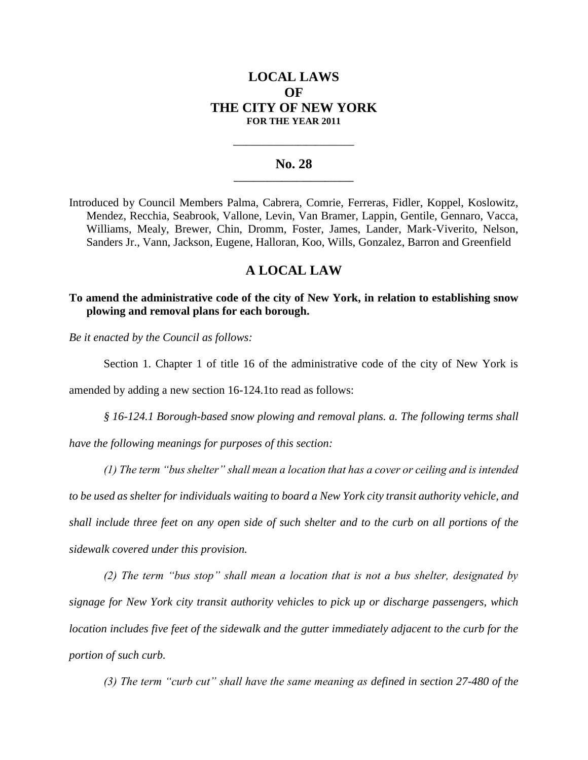# **LOCAL LAWS OF THE CITY OF NEW YORK FOR THE YEAR 2011**

## **No. 28 \_\_\_\_\_\_\_\_\_\_\_\_\_\_\_\_\_\_\_\_\_\_\_\_\_**

**\_\_\_\_\_\_\_\_\_\_\_\_\_\_\_\_\_\_\_\_\_\_\_\_\_\_\_\_**

Introduced by Council Members Palma, Cabrera, Comrie, Ferreras, Fidler, Koppel, Koslowitz, Mendez, Recchia, Seabrook, Vallone, Levin, Van Bramer, Lappin, Gentile, Gennaro, Vacca, Williams, Mealy, Brewer, Chin, Dromm, Foster, James, Lander, Mark-Viverito, Nelson, Sanders Jr., Vann, Jackson, Eugene, Halloran, Koo, Wills, Gonzalez, Barron and Greenfield

## **A LOCAL LAW**

## **To amend the administrative code of the city of New York, in relation to establishing snow plowing and removal plans for each borough.**

*Be it enacted by the Council as follows:*

Section 1. Chapter 1 of title 16 of the administrative code of the city of New York is

amended by adding a new section 16-124.1to read as follows:

*§ 16-124.1 Borough-based snow plowing and removal plans. a. The following terms shall* 

*have the following meanings for purposes of this section:* 

*(1) The term "bus shelter" shall mean a location that has a cover or ceiling and is intended to be used as shelter for individuals waiting to board a New York city transit authority vehicle, and shall include three feet on any open side of such shelter and to the curb on all portions of the sidewalk covered under this provision.*

*(2) The term "bus stop" shall mean a location that is not a bus shelter, designated by signage for New York city transit authority vehicles to pick up or discharge passengers, which location includes five feet of the sidewalk and the gutter immediately adjacent to the curb for the portion of such curb.* 

*(3) The term "curb cut" shall have the same meaning as defined in section 27-480 of the*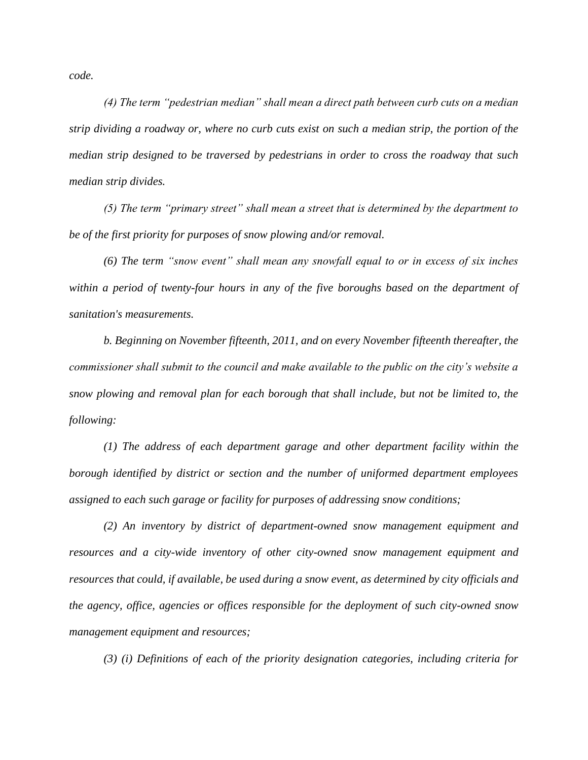*code.*

*(4) The term "pedestrian median" shall mean a direct path between curb cuts on a median strip dividing a roadway or, where no curb cuts exist on such a median strip, the portion of the median strip designed to be traversed by pedestrians in order to cross the roadway that such median strip divides.*

*(5) The term "primary street" shall mean a street that is determined by the department to be of the first priority for purposes of snow plowing and/or removal.*

*(6) The term "snow event" shall mean any snowfall equal to or in excess of six inches*  within a period of twenty-four hours in any of the five boroughs based on the department of *sanitation's measurements.*

*b. Beginning on November fifteenth, 2011, and on every November fifteenth thereafter, the commissioner shall submit to the council and make available to the public on the city's website a snow plowing and removal plan for each borough that shall include, but not be limited to, the following:*

*(1) The address of each department garage and other department facility within the borough identified by district or section and the number of uniformed department employees assigned to each such garage or facility for purposes of addressing snow conditions;*

*(2) An inventory by district of department-owned snow management equipment and resources and a city-wide inventory of other city-owned snow management equipment and resources that could, if available, be used during a snow event, as determined by city officials and the agency, office, agencies or offices responsible for the deployment of such city-owned snow management equipment and resources;*

*(3) (i) Definitions of each of the priority designation categories, including criteria for*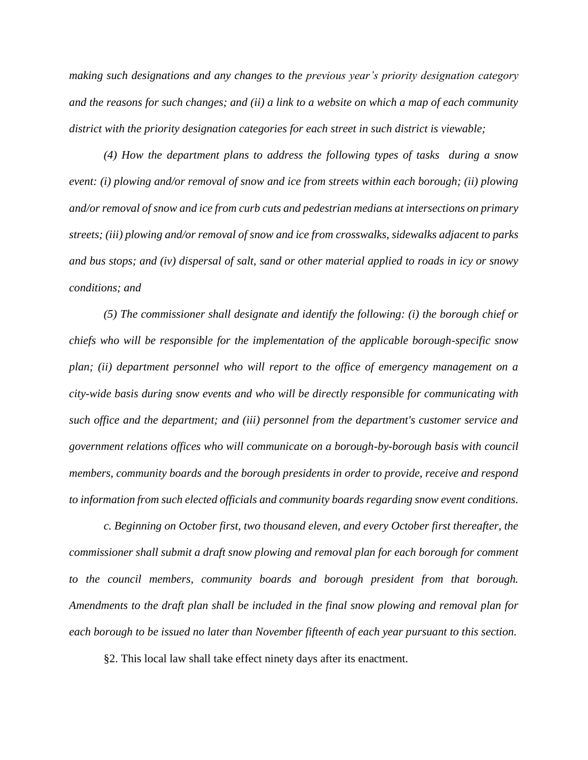*making such designations and any changes to the previous year's priority designation category and the reasons for such changes; and (ii) a link to a website on which a map of each community district with the priority designation categories for each street in such district is viewable;*

*(4) How the department plans to address the following types of tasks during a snow event: (i) plowing and/or removal of snow and ice from streets within each borough; (ii) plowing and/or removal of snow and ice from curb cuts and pedestrian medians at intersections on primary streets; (iii) plowing and/or removal of snow and ice from crosswalks, sidewalks adjacent to parks and bus stops; and (iv) dispersal of salt, sand or other material applied to roads in icy or snowy conditions; and*

*(5) The commissioner shall designate and identify the following: (i) the borough chief or chiefs who will be responsible for the implementation of the applicable borough-specific snow plan; (ii) department personnel who will report to the office of emergency management on a city-wide basis during snow events and who will be directly responsible for communicating with such office and the department; and (iii) personnel from the department's customer service and government relations offices who will communicate on a borough-by-borough basis with council members, community boards and the borough presidents in order to provide, receive and respond to information from such elected officials and community boards regarding snow event conditions.*

*c. Beginning on October first, two thousand eleven, and every October first thereafter, the commissioner shall submit a draft snow plowing and removal plan for each borough for comment to the council members, community boards and borough president from that borough. Amendments to the draft plan shall be included in the final snow plowing and removal plan for each borough to be issued no later than November fifteenth of each year pursuant to this section.*

§2. This local law shall take effect ninety days after its enactment.